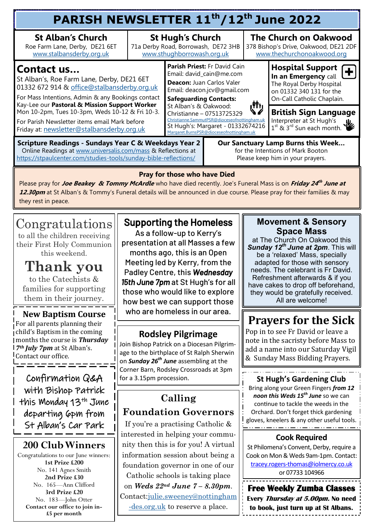| PARISH NEWSLETTER 11 <sup>th</sup> /12 <sup>th</sup> June 2022                                                                                                                                       |                                                                                              |                                                                                                                                                                                                                                                                                                                                                        |  |                                                                                                 |                                                                                                                                                |  |  |  |  |
|------------------------------------------------------------------------------------------------------------------------------------------------------------------------------------------------------|----------------------------------------------------------------------------------------------|--------------------------------------------------------------------------------------------------------------------------------------------------------------------------------------------------------------------------------------------------------------------------------------------------------------------------------------------------------|--|-------------------------------------------------------------------------------------------------|------------------------------------------------------------------------------------------------------------------------------------------------|--|--|--|--|
| <b>St Alban's Church</b><br>Roe Farm Lane, Derby, DE21 6ET<br>www.stalbansderby.org.uk                                                                                                               | <b>St Hugh's Church</b><br>71a Derby Road, Borrowash, DE72 3HB<br>www.sthughborrowash.org.uk |                                                                                                                                                                                                                                                                                                                                                        |  |                                                                                                 | <b>The Church on Oakwood</b><br>378 Bishop's Drive, Oakwood, DE21 2DF<br>www.thechurchonoakwood.org                                            |  |  |  |  |
| Contact us<br>St Alban's, Roe Farm Lane, Derby, DE21 6ET<br>01332 672 914 & office@stalbansderby.org.uk<br>For Mass Intentions, Admin & any Bookings contact                                         |                                                                                              | Parish Priest: Fr David Cain<br>Email: david_cain@me.com<br>Deacon: Juan Carlos Valer<br>Email: deacon.jcv@gmail.com<br><b>Safeguarding Contacts:</b><br>راأأيا<br>St Alban's & Oakwood:<br>Christianne - 07513725329<br>Christianne.SammutPSR@dioceseofnottingham.uk<br>St Hugh's: Margaret - 01332674216<br>Margaret.BurnsPSR@dioceseofnottingham.uk |  |                                                                                                 | <b>Hospital Support</b><br>$[+]$<br>In an Emergency call<br>The Royal Derby Hospital<br>on 01332 340 131 for the<br>On-Call Catholic Chaplain. |  |  |  |  |
| Kay-Lee our Pastoral & Mission Support Worker<br>Mon 10-2pm, Tues 10-3pm, Weds 10-12 & Fri 10-3.<br>For Parish Newsletter items email Mark before<br>Friday at: newsletter@stalbansderby.org.uk      |                                                                                              |                                                                                                                                                                                                                                                                                                                                                        |  | <b>British Sign Language</b><br>Interpreter at St Hugh's<br>$1^{35}$ & $3^{rd}$ Sun each month. |                                                                                                                                                |  |  |  |  |
| <b>Scripture Readings - Sundays Year C &amp; Weekdays Year 2</b><br>Online Readings at www.universalis.com/mass & Reflections at<br>https://stpaulcenter.com/studies-tools/sunday-bible-reflections/ |                                                                                              | Our Sanctuary Lamp Burns this Week<br>for the Intentions of Mark Booton<br>Please keep him in your prayers.                                                                                                                                                                                                                                            |  |                                                                                                 |                                                                                                                                                |  |  |  |  |
| Droit far those who have Diad                                                                                                                                                                        |                                                                                              |                                                                                                                                                                                                                                                                                                                                                        |  |                                                                                                 |                                                                                                                                                |  |  |  |  |

#### **Pray for those who have Died**

Please pray for **Joe Beakey & Tommy McArdle** who have died recently. Joe's Funeral Mass is on **Friday 24 th June at 12.30pm** at St Alban's & Tommy's Funeral details will be announced in due course. Please pray for their families & may they rest in peace.

# Congratulations

to all the children receiving their First Holy Communion this weekend.

# **Thank you**

to the Catechists & families for supporting them in their journey.

#### **New Baptism Course** For all parents planning their child's Baptism in the coming months the course is *Thursday 7th July 7pm* at St Alban's. Contact our office.

Confirmation Q&A with Bishop Patrick this Monday 13<sup>th</sup> June departing 6pm from St Alban's Car Park

## **200 Club Winners**

Congratulations to our June winners: **1st Prize £200** No. 141 Agnes Smith **2nd Prize £30** No. 165—Ann Clifford **3rd Prize £20** No. 183—John Otter **Contact our office to join in- £5 per month**

## Supporting the Homeless

As a follow-up to Kerry's presentation at all Masses a few months ago, this is an Open Meeting led by Kerry, from the Padley Centre, this *Wednesday 15th June 7pm* at St Hugh's for all those who would like to explore how best we can support those who are homeless in our area.

### **Rodsley Pilgrimage**

Join Bishop Patrick on a Diocesan Pilgrimage to the birthplace of St Ralph Sherwin on *Sunday 26th June* assembling at the Corner Barn, Rodsley Crossroads at 3pm for a 3.15pm procession.

# **Calling Foundation Governors**

If you're a practising Catholic & interested in helping your community then this is for you! A virtual information session about being a foundation governor in one of our Catholic schools is taking place on *Weds 22nd June 7 – 8.30pm*. Contact[:julie.sweeney@nottingham](mailto:julie.sweeney@nottingham-des.org.uk) [-des.org.uk](mailto:julie.sweeney@nottingham-des.org.uk) to reserve a place.

#### **Movement & Sensory Space Mass**

at The Church On Oakwood this *Sunday 12th June at 2pm*. This will be a 'relaxed' Mass, specially adapted for those with sensory needs. The celebrant is Fr David. Refreshment afterwards & if you have cakes to drop off beforehand, they would be gratefully received. All are welcome!

# **Prayers for the Sick**

Pop in to see Fr David or leave a note in the sacristy before Mass to add a name into our Saturday Vigil & Sunday Mass Bidding Prayers.

#### **St Hugh's Gardening Club**

Bring along your Green Fingers *from 12 noon this Weds 15th June* so we can continue to tackle the weeds in the Orchard. Don't forget thick gardening gloves, kneelers & any other useful tools.

#### **Cook Required**

St Philomena's Convent, Derby, require a Cook on Mon & Weds 9am-1pm. Contact: tracey.rogers-[thomas@iolmercy.co.uk](mailto:tracey.rogers-thomas@iolmercy.co.uk)  or 07733 104966

**Free Weekly Zumba Classes Every Thursday at 5.00pm. No need to book, just turn up at St Albans.**